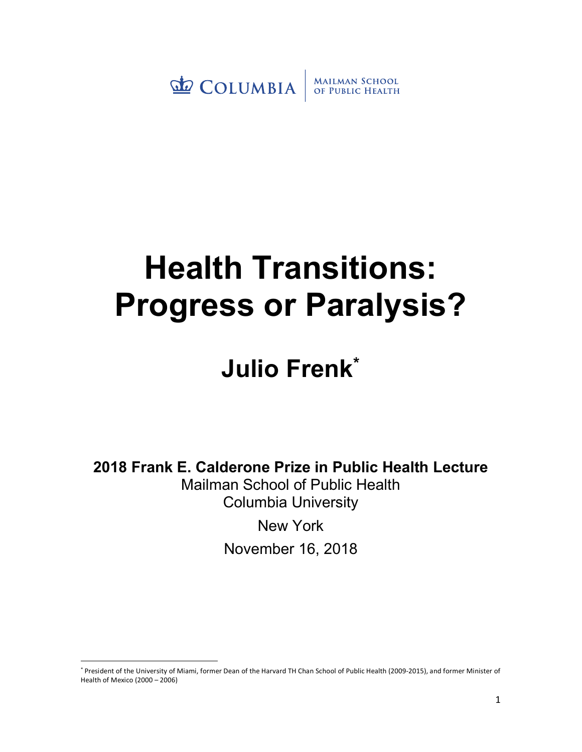COLUMBIA MAILMAN SCHOOL<br>OF PUBLIC HEALTH

## **Health Transitions: Progress or Paralysis?**

## **Julio Frenk\***

**2018 Frank E. Calderone Prize in Public Health Lecture**

Mailman School of Public Health Columbia University

New York

November 16, 2018

 <sup>\*</sup> President of the University of Miami, former Dean of the Harvard TH Chan School of Public Health (2009-2015), and former Minister of Health of Mexico (2000 – 2006)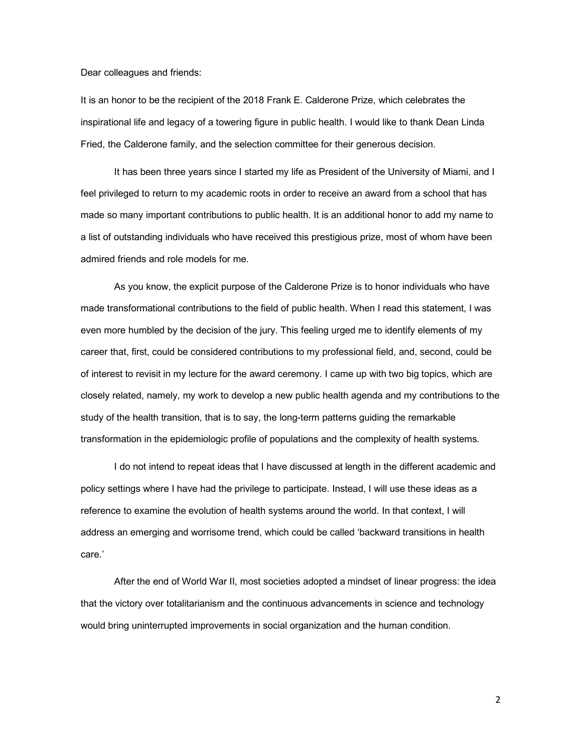Dear colleagues and friends:

It is an honor to be the recipient of the 2018 Frank E. Calderone Prize, which celebrates the inspirational life and legacy of a towering figure in public health. I would like to thank Dean Linda Fried, the Calderone family, and the selection committee for their generous decision.

It has been three years since I started my life as President of the University of Miami, and I feel privileged to return to my academic roots in order to receive an award from a school that has made so many important contributions to public health. It is an additional honor to add my name to a list of outstanding individuals who have received this prestigious prize, most of whom have been admired friends and role models for me.

As you know, the explicit purpose of the Calderone Prize is to honor individuals who have made transformational contributions to the field of public health. When I read this statement, I was even more humbled by the decision of the jury. This feeling urged me to identify elements of my career that, first, could be considered contributions to my professional field, and, second, could be of interest to revisit in my lecture for the award ceremony. I came up with two big topics, which are closely related, namely, my work to develop a new public health agenda and my contributions to the study of the health transition, that is to say, the long-term patterns guiding the remarkable transformation in the epidemiologic profile of populations and the complexity of health systems.

I do not intend to repeat ideas that I have discussed at length in the different academic and policy settings where I have had the privilege to participate. Instead, I will use these ideas as a reference to examine the evolution of health systems around the world. In that context, I will address an emerging and worrisome trend, which could be called 'backward transitions in health care.'

After the end of World War II, most societies adopted a mindset of linear progress: the idea that the victory over totalitarianism and the continuous advancements in science and technology would bring uninterrupted improvements in social organization and the human condition.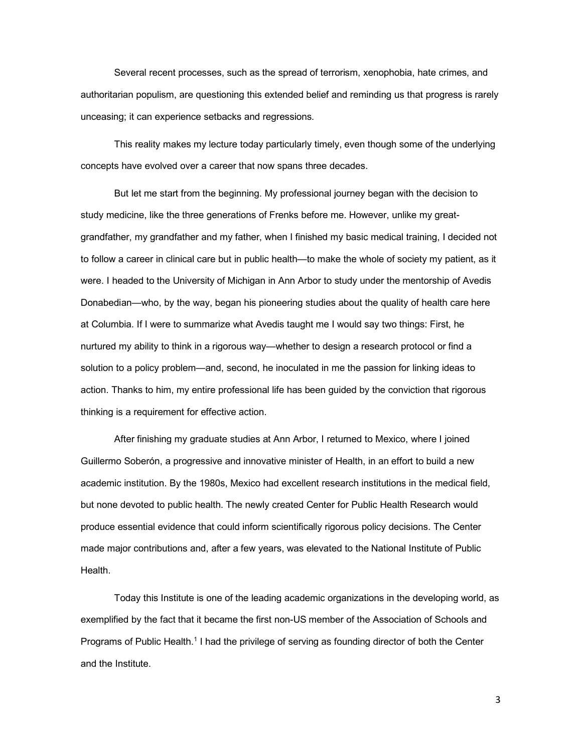Several recent processes, such as the spread of terrorism, xenophobia, hate crimes, and authoritarian populism, are questioning this extended belief and reminding us that progress is rarely unceasing; it can experience setbacks and regressions.

This reality makes my lecture today particularly timely, even though some of the underlying concepts have evolved over a career that now spans three decades.

But let me start from the beginning. My professional journey began with the decision to study medicine, like the three generations of Frenks before me. However, unlike my greatgrandfather, my grandfather and my father, when I finished my basic medical training, I decided not to follow a career in clinical care but in public health—to make the whole of society my patient, as it were. I headed to the University of Michigan in Ann Arbor to study under the mentorship of Avedis Donabedian—who, by the way, began his pioneering studies about the quality of health care here at Columbia. If I were to summarize what Avedis taught me I would say two things: First, he nurtured my ability to think in a rigorous way—whether to design a research protocol or find a solution to a policy problem—and, second, he inoculated in me the passion for linking ideas to action. Thanks to him, my entire professional life has been guided by the conviction that rigorous thinking is a requirement for effective action.

After finishing my graduate studies at Ann Arbor, I returned to Mexico, where I joined Guillermo Soberón, a progressive and innovative minister of Health, in an effort to build a new academic institution. By the 1980s, Mexico had excellent research institutions in the medical field, but none devoted to public health. The newly created Center for Public Health Research would produce essential evidence that could inform scientifically rigorous policy decisions. The Center made major contributions and, after a few years, was elevated to the National Institute of Public Health.

Today this Institute is one of the leading academic organizations in the developing world, as exemplified by the fact that it became the first non-US member of the Association of Schools and Programs of Public Health.1 I had the privilege of serving as founding director of both the Center and the Institute.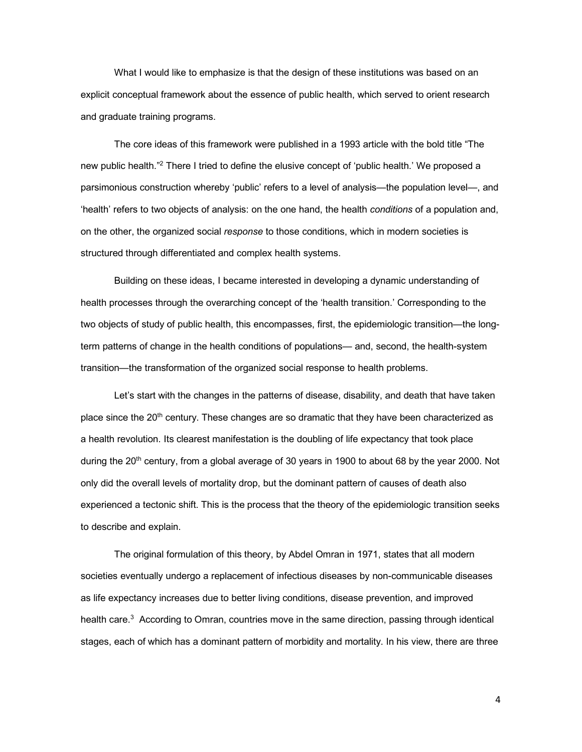What I would like to emphasize is that the design of these institutions was based on an explicit conceptual framework about the essence of public health, which served to orient research and graduate training programs.

The core ideas of this framework were published in a 1993 article with the bold title "The new public health."2 There I tried to define the elusive concept of 'public health.' We proposed a parsimonious construction whereby 'public' refers to a level of analysis—the population level—, and 'health' refers to two objects of analysis: on the one hand, the health *conditions* of a population and, on the other, the organized social *response* to those conditions, which in modern societies is structured through differentiated and complex health systems.

Building on these ideas, I became interested in developing a dynamic understanding of health processes through the overarching concept of the 'health transition.' Corresponding to the two objects of study of public health, this encompasses, first, the epidemiologic transition—the longterm patterns of change in the health conditions of populations— and, second, the health-system transition—the transformation of the organized social response to health problems.

Let's start with the changes in the patterns of disease, disability, and death that have taken place since the 20<sup>th</sup> century. These changes are so dramatic that they have been characterized as a health revolution. Its clearest manifestation is the doubling of life expectancy that took place during the 20<sup>th</sup> century, from a global average of 30 years in 1900 to about 68 by the year 2000. Not only did the overall levels of mortality drop, but the dominant pattern of causes of death also experienced a tectonic shift. This is the process that the theory of the epidemiologic transition seeks to describe and explain.

The original formulation of this theory, by Abdel Omran in 1971, states that all modern societies eventually undergo a replacement of infectious diseases by non-communicable diseases as life expectancy increases due to better living conditions, disease prevention, and improved health care.<sup>3</sup> According to Omran, countries move in the same direction, passing through identical stages, each of which has a dominant pattern of morbidity and mortality. In his view, there are three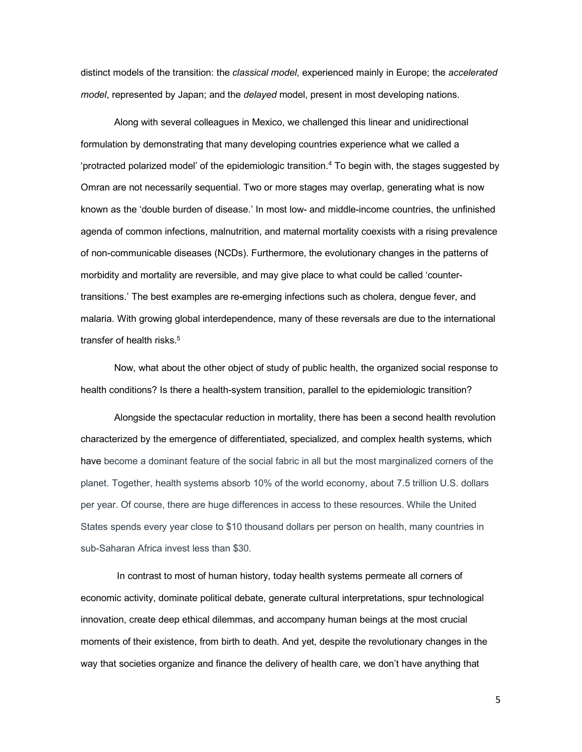distinct models of the transition: the *classical model*, experienced mainly in Europe; the *accelerated model*, represented by Japan; and the *delayed* model, present in most developing nations.

Along with several colleagues in Mexico, we challenged this linear and unidirectional formulation by demonstrating that many developing countries experience what we called a 'protracted polarized model' of the epidemiologic transition. <sup>4</sup> To begin with, the stages suggested by Omran are not necessarily sequential. Two or more stages may overlap, generating what is now known as the 'double burden of disease.' In most low- and middle-income countries, the unfinished agenda of common infections, malnutrition, and maternal mortality coexists with a rising prevalence of non-communicable diseases (NCDs). Furthermore, the evolutionary changes in the patterns of morbidity and mortality are reversible, and may give place to what could be called 'countertransitions.' The best examples are re-emerging infections such as cholera, dengue fever, and malaria. With growing global interdependence, many of these reversals are due to the international transfer of health risks.<sup>5</sup>

Now, what about the other object of study of public health, the organized social response to health conditions? Is there a health-system transition, parallel to the epidemiologic transition?

Alongside the spectacular reduction in mortality, there has been a second health revolution characterized by the emergence of differentiated, specialized, and complex health systems, which have become a dominant feature of the social fabric in all but the most marginalized corners of the planet. Together, health systems absorb 10% of the world economy, about 7.5 trillion U.S. dollars per year. Of course, there are huge differences in access to these resources. While the United States spends every year close to \$10 thousand dollars per person on health, many countries in sub-Saharan Africa invest less than \$30.

In contrast to most of human history, today health systems permeate all corners of economic activity, dominate political debate, generate cultural interpretations, spur technological innovation, create deep ethical dilemmas, and accompany human beings at the most crucial moments of their existence, from birth to death. And yet, despite the revolutionary changes in the way that societies organize and finance the delivery of health care, we don't have anything that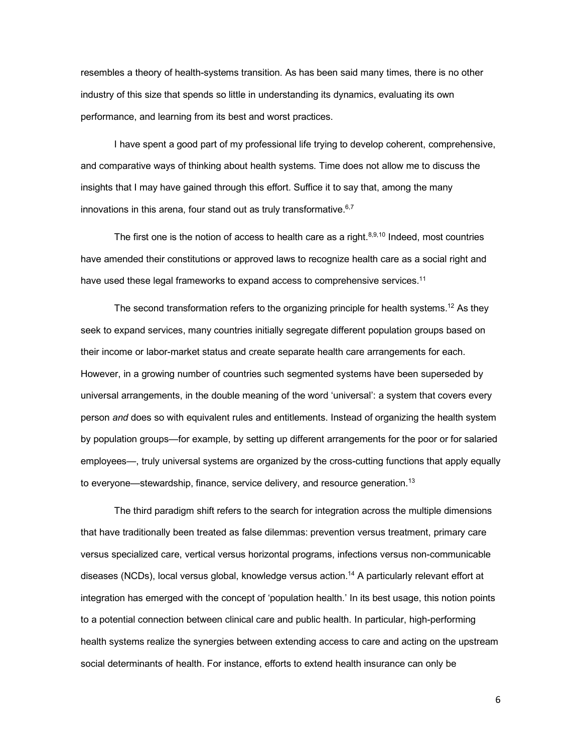resembles a theory of health-systems transition. As has been said many times, there is no other industry of this size that spends so little in understanding its dynamics, evaluating its own performance, and learning from its best and worst practices.

I have spent a good part of my professional life trying to develop coherent, comprehensive, and comparative ways of thinking about health systems. Time does not allow me to discuss the insights that I may have gained through this effort. Suffice it to say that, among the many innovations in this arena, four stand out as truly transformative.<sup>6,7</sup>

The first one is the notion of access to health care as a right. $8,9,10$  Indeed, most countries have amended their constitutions or approved laws to recognize health care as a social right and have used these legal frameworks to expand access to comprehensive services.<sup>11</sup>

The second transformation refers to the organizing principle for health systems.<sup>12</sup> As they seek to expand services, many countries initially segregate different population groups based on their income or labor-market status and create separate health care arrangements for each. However, in a growing number of countries such segmented systems have been superseded by universal arrangements, in the double meaning of the word 'universal': a system that covers every person *and* does so with equivalent rules and entitlements. Instead of organizing the health system by population groups—for example, by setting up different arrangements for the poor or for salaried employees—, truly universal systems are organized by the cross-cutting functions that apply equally to everyone—stewardship, finance, service delivery, and resource generation.<sup>13</sup>

The third paradigm shift refers to the search for integration across the multiple dimensions that have traditionally been treated as false dilemmas: prevention versus treatment, primary care versus specialized care, vertical versus horizontal programs, infections versus non-communicable diseases (NCDs), local versus global, knowledge versus action.14 A particularly relevant effort at integration has emerged with the concept of 'population health.' In its best usage, this notion points to a potential connection between clinical care and public health. In particular, high-performing health systems realize the synergies between extending access to care and acting on the upstream social determinants of health. For instance, efforts to extend health insurance can only be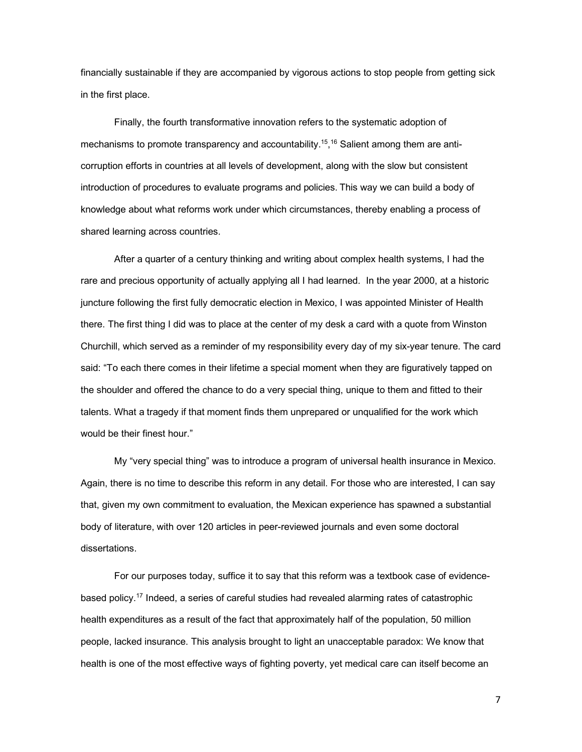financially sustainable if they are accompanied by vigorous actions to stop people from getting sick in the first place.

Finally, the fourth transformative innovation refers to the systematic adoption of mechanisms to promote transparency and accountability.<sup>15</sup>,<sup>16</sup> Salient among them are anticorruption efforts in countries at all levels of development, along with the slow but consistent introduction of procedures to evaluate programs and policies. This way we can build a body of knowledge about what reforms work under which circumstances, thereby enabling a process of shared learning across countries.

After a quarter of a century thinking and writing about complex health systems, I had the rare and precious opportunity of actually applying all I had learned. In the year 2000, at a historic juncture following the first fully democratic election in Mexico, I was appointed Minister of Health there. The first thing I did was to place at the center of my desk a card with a quote from Winston Churchill, which served as a reminder of my responsibility every day of my six-year tenure. The card said: "To each there comes in their lifetime a special moment when they are figuratively tapped on the shoulder and offered the chance to do a very special thing, unique to them and fitted to their talents. What a tragedy if that moment finds them unprepared or unqualified for the work which would be their finest hour."

My "very special thing" was to introduce a program of universal health insurance in Mexico. Again, there is no time to describe this reform in any detail. For those who are interested, I can say that, given my own commitment to evaluation, the Mexican experience has spawned a substantial body of literature, with over 120 articles in peer-reviewed journals and even some doctoral dissertations.

For our purposes today, suffice it to say that this reform was a textbook case of evidencebased policy.17 Indeed, a series of careful studies had revealed alarming rates of catastrophic health expenditures as a result of the fact that approximately half of the population, 50 million people, lacked insurance. This analysis brought to light an unacceptable paradox: We know that health is one of the most effective ways of fighting poverty, yet medical care can itself become an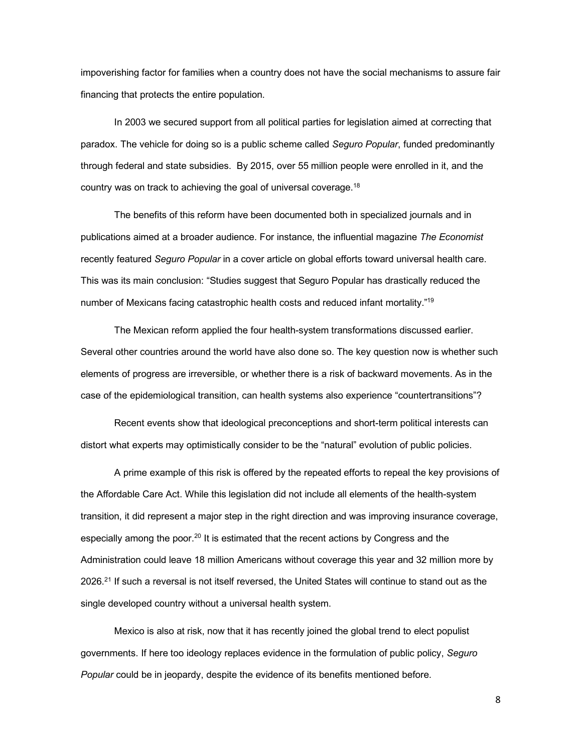impoverishing factor for families when a country does not have the social mechanisms to assure fair financing that protects the entire population.

In 2003 we secured support from all political parties for legislation aimed at correcting that paradox. The vehicle for doing so is a public scheme called *Seguro Popular*, funded predominantly through federal and state subsidies. By 2015, over 55 million people were enrolled in it, and the country was on track to achieving the goal of universal coverage.18

The benefits of this reform have been documented both in specialized journals and in publications aimed at a broader audience. For instance, the influential magazine *The Economist* recently featured *Seguro Popular* in a cover article on global efforts toward universal health care. This was its main conclusion: "Studies suggest that Seguro Popular has drastically reduced the number of Mexicans facing catastrophic health costs and reduced infant mortality."19

The Mexican reform applied the four health-system transformations discussed earlier. Several other countries around the world have also done so. The key question now is whether such elements of progress are irreversible, or whether there is a risk of backward movements. As in the case of the epidemiological transition, can health systems also experience "countertransitions"?

Recent events show that ideological preconceptions and short-term political interests can distort what experts may optimistically consider to be the "natural" evolution of public policies.

A prime example of this risk is offered by the repeated efforts to repeal the key provisions of the Affordable Care Act. While this legislation did not include all elements of the health-system transition, it did represent a major step in the right direction and was improving insurance coverage, especially among the poor.<sup>20</sup> It is estimated that the recent actions by Congress and the Administration could leave 18 million Americans without coverage this year and 32 million more by 2026.<sup>21</sup> If such a reversal is not itself reversed, the United States will continue to stand out as the single developed country without a universal health system.

Mexico is also at risk, now that it has recently joined the global trend to elect populist governments. If here too ideology replaces evidence in the formulation of public policy, *Seguro Popular* could be in jeopardy, despite the evidence of its benefits mentioned before.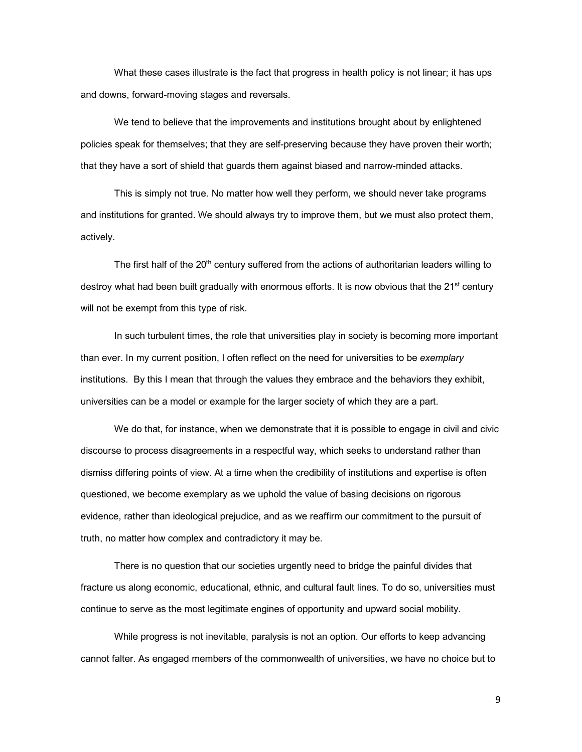What these cases illustrate is the fact that progress in health policy is not linear; it has ups and downs, forward-moving stages and reversals.

We tend to believe that the improvements and institutions brought about by enlightened policies speak for themselves; that they are self-preserving because they have proven their worth; that they have a sort of shield that guards them against biased and narrow-minded attacks.

This is simply not true. No matter how well they perform, we should never take programs and institutions for granted. We should always try to improve them, but we must also protect them, actively.

The first half of the 20<sup>th</sup> century suffered from the actions of authoritarian leaders willing to destroy what had been built gradually with enormous efforts. It is now obvious that the 21<sup>st</sup> century will not be exempt from this type of risk.

In such turbulent times, the role that universities play in society is becoming more important than ever. In my current position, I often reflect on the need for universities to be *exemplary* institutions. By this I mean that through the values they embrace and the behaviors they exhibit, universities can be a model or example for the larger society of which they are a part.

We do that, for instance, when we demonstrate that it is possible to engage in civil and civic discourse to process disagreements in a respectful way, which seeks to understand rather than dismiss differing points of view. At a time when the credibility of institutions and expertise is often questioned, we become exemplary as we uphold the value of basing decisions on rigorous evidence, rather than ideological prejudice, and as we reaffirm our commitment to the pursuit of truth, no matter how complex and contradictory it may be.

There is no question that our societies urgently need to bridge the painful divides that fracture us along economic, educational, ethnic, and cultural fault lines. To do so, universities must continue to serve as the most legitimate engines of opportunity and upward social mobility.

While progress is not inevitable, paralysis is not an option. Our efforts to keep advancing cannot falter. As engaged members of the commonwealth of universities, we have no choice but to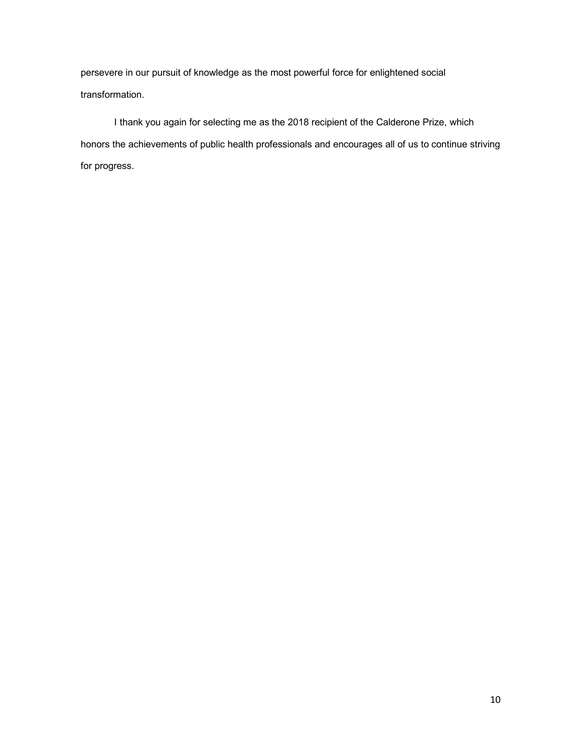persevere in our pursuit of knowledge as the most powerful force for enlightened social transformation.

I thank you again for selecting me as the 2018 recipient of the Calderone Prize, which honors the achievements of public health professionals and encourages all of us to continue striving for progress.